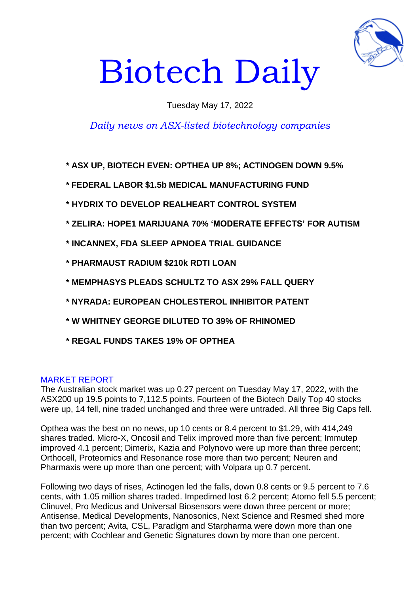

# Biotech Daily

## Tuesday May 17, 2022

# *Daily news on ASX-listed biotechnology companies*

**\* ASX UP, BIOTECH EVEN: OPTHEA UP 8%; ACTINOGEN DOWN 9.5%**

- **\* FEDERAL LABOR \$1.5b MEDICAL MANUFACTURING FUND**
- **\* HYDRIX TO DEVELOP REALHEART CONTROL SYSTEM**
- **\* ZELIRA: HOPE1 MARIJUANA 70% 'MODERATE EFFECTS' FOR AUTISM**
- **\* INCANNEX, FDA SLEEP APNOEA TRIAL GUIDANCE**
- **\* PHARMAUST RADIUM \$210k RDTI LOAN**
- **\* MEMPHASYS PLEADS SCHULTZ TO ASX 29% FALL QUERY**
- **\* NYRADA: EUROPEAN CHOLESTEROL INHIBITOR PATENT**
- **\* W WHITNEY GEORGE DILUTED TO 39% OF RHINOMED**
- **\* REGAL FUNDS TAKES 19% OF OPTHEA**

#### MARKET REPORT

The Australian stock market was up 0.27 percent on Tuesday May 17, 2022, with the ASX200 up 19.5 points to 7,112.5 points. Fourteen of the Biotech Daily Top 40 stocks were up, 14 fell, nine traded unchanged and three were untraded. All three Big Caps fell.

Opthea was the best on no news, up 10 cents or 8.4 percent to \$1.29, with 414,249 shares traded. Micro-X, Oncosil and Telix improved more than five percent; Immutep improved 4.1 percent; Dimerix, Kazia and Polynovo were up more than three percent; Orthocell, Proteomics and Resonance rose more than two percent; Neuren and Pharmaxis were up more than one percent; with Volpara up 0.7 percent.

Following two days of rises, Actinogen led the falls, down 0.8 cents or 9.5 percent to 7.6 cents, with 1.05 million shares traded. Impedimed lost 6.2 percent; Atomo fell 5.5 percent; Clinuvel, Pro Medicus and Universal Biosensors were down three percent or more; Antisense, Medical Developments, Nanosonics, Next Science and Resmed shed more than two percent; Avita, CSL, Paradigm and Starpharma were down more than one percent; with Cochlear and Genetic Signatures down by more than one percent.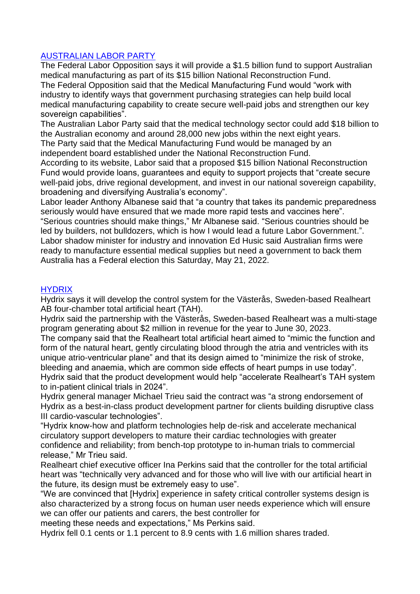## AUSTRALIAN LABOR PARTY

The Federal Labor Opposition says it will provide a \$1.5 billion fund to support Australian medical manufacturing as part of its \$15 billion National Reconstruction Fund. The Federal Opposition said that the Medical Manufacturing Fund would "work with industry to identify ways that government purchasing strategies can help build local medical manufacturing capability to create secure well-paid jobs and strengthen our key sovereign capabilities".

The Australian Labor Party said that the medical technology sector could add \$18 billion to the Australian economy and around 28,000 new jobs within the next eight years.

The Party said that the Medical Manufacturing Fund would be managed by an independent board established under the National Reconstruction Fund.

According to its website, Labor said that a proposed \$15 billion National Reconstruction Fund would provide loans, guarantees and equity to support projects that "create secure well-paid jobs, drive regional development, and invest in our national sovereign capability, broadening and diversifying Australia's economy".

Labor leader Anthony Albanese said that "a country that takes its pandemic preparedness seriously would have ensured that we made more rapid tests and vaccines here".

"Serious countries should make things," Mr Albanese said. "Serious countries should be led by builders, not bulldozers, which is how I would lead a future Labor Government.". Labor shadow minister for industry and innovation Ed Husic said Australian firms were ready to manufacture essential medical supplies but need a government to back them Australia has a Federal election this Saturday, May 21, 2022.

## **HYDRIX**

Hydrix says it will develop the control system for the Västerås, Sweden-based Realheart AB four-chamber total artificial heart (TAH).

Hydrix said the partnership with the Västerås, Sweden-based Realheart was a multi-stage program generating about \$2 million in revenue for the year to June 30, 2023.

The company said that the Realheart total artificial heart aimed to "mimic the function and form of the natural heart, gently circulating blood through the atria and ventricles with its unique atrio-ventricular plane" and that its design aimed to "minimize the risk of stroke, bleeding and anaemia, which are common side effects of heart pumps in use today". Hydrix said that the product development would help "accelerate Realheart's TAH system to in-patient clinical trials in 2024".

Hydrix general manager Michael Trieu said the contract was "a strong endorsement of Hydrix as a best-in-class product development partner for clients building disruptive class III cardio-vascular technologies".

"Hydrix know-how and platform technologies help de-risk and accelerate mechanical circulatory support developers to mature their cardiac technologies with greater confidence and reliability; from bench-top prototype to in-human trials to commercial release," Mr Trieu said.

Realheart chief executive officer Ina Perkins said that the controller for the total artificial heart was "technically very advanced and for those who will live with our artificial heart in the future, its design must be extremely easy to use".

"We are convinced that [Hydrix] experience in safety critical controller systems design is also characterized by a strong focus on human user needs experience which will ensure we can offer our patients and carers, the best controller for

meeting these needs and expectations," Ms Perkins said.

Hydrix fell 0.1 cents or 1.1 percent to 8.9 cents with 1.6 million shares traded.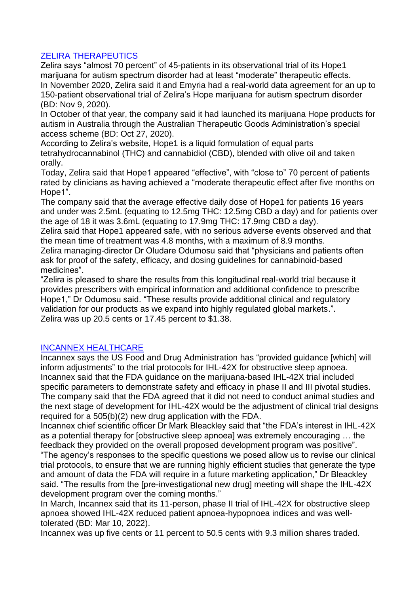## ZELIRA THERAPEUTICS

Zelira says "almost 70 percent" of 45-patients in its observational trial of its Hope1 marijuana for autism spectrum disorder had at least "moderate" therapeutic effects. In November 2020, Zelira said it and Emyria had a real-world data agreement for an up to 150-patient observational trial of Zelira's Hope marijuana for autism spectrum disorder (BD: Nov 9, 2020).

In October of that year, the company said it had launched its marijuana Hope products for autism in Australia through the Australian Therapeutic Goods Administration's special access scheme (BD: Oct 27, 2020).

According to Zelira's website, Hope1 is a liquid formulation of equal parts tetrahydrocannabinol (THC) and cannabidiol (CBD), blended with olive oil and taken orally.

Today, Zelira said that Hope1 appeared "effective", with "close to" 70 percent of patients rated by clinicians as having achieved a "moderate therapeutic effect after five months on Hope1".

The company said that the average effective daily dose of Hope1 for patients 16 years and under was 2.5mL (equating to 12.5mg THC: 12.5mg CBD a day) and for patients over the age of 18 it was 3.6mL (equating to 17.9mg THC: 17.9mg CBD a day).

Zelira said that Hope1 appeared safe, with no serious adverse events observed and that the mean time of treatment was 4.8 months, with a maximum of 8.9 months.

Zelira managing-director Dr Oludare Odumosu said that "physicians and patients often ask for proof of the safety, efficacy, and dosing guidelines for cannabinoid-based medicines".

"Zelira is pleased to share the results from this longitudinal real-world trial because it provides prescribers with empirical information and additional confidence to prescribe Hope1," Dr Odumosu said. "These results provide additional clinical and regulatory validation for our products as we expand into highly regulated global markets.". Zelira was up 20.5 cents or 17.45 percent to \$1.38.

## INCANNEX HEALTHCARE

Incannex says the US Food and Drug Administration has "provided guidance [which] will inform adjustments" to the trial protocols for IHL-42X for obstructive sleep apnoea. Incannex said that the FDA guidance on the marijuana-based IHL-42X trial included specific parameters to demonstrate safety and efficacy in phase II and III pivotal studies. The company said that the FDA agreed that it did not need to conduct animal studies and the next stage of development for IHL-42X would be the adjustment of clinical trial designs required for a 505(b)(2) new drug application with the FDA.

Incannex chief scientific officer Dr Mark Bleackley said that "the FDA's interest in IHL-42X as a potential therapy for [obstructive sleep apnoea] was extremely encouraging … the feedback they provided on the overall proposed development program was positive".

"The agency's responses to the specific questions we posed allow us to revise our clinical trial protocols, to ensure that we are running highly efficient studies that generate the type and amount of data the FDA will require in a future marketing application," Dr Bleackley said. "The results from the [pre-investigational new drug] meeting will shape the IHL-42X development program over the coming months."

In March, Incannex said that its 11-person, phase II trial of IHL-42X for obstructive sleep apnoea showed IHL-42X reduced patient apnoea-hypopnoea indices and was welltolerated (BD: Mar 10, 2022).

Incannex was up five cents or 11 percent to 50.5 cents with 9.3 million shares traded.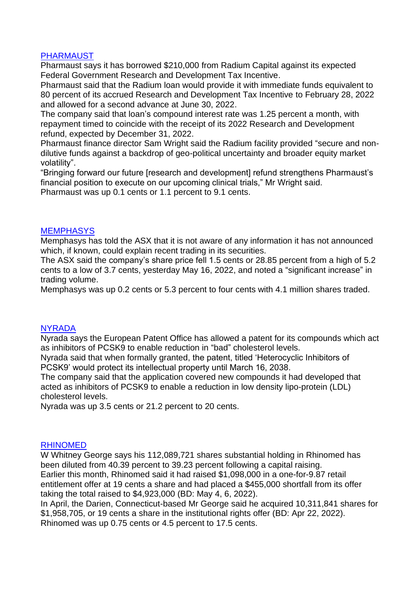## PHARMAUST

Pharmaust says it has borrowed \$210,000 from Radium Capital against its expected Federal Government Research and Development Tax Incentive.

Pharmaust said that the Radium loan would provide it with immediate funds equivalent to 80 percent of its accrued Research and Development Tax Incentive to February 28, 2022 and allowed for a second advance at June 30, 2022.

The company said that loan's compound interest rate was 1.25 percent a month, with repayment timed to coincide with the receipt of its 2022 Research and Development refund, expected by December 31, 2022.

Pharmaust finance director Sam Wright said the Radium facility provided "secure and nondilutive funds against a backdrop of geo-political uncertainty and broader equity market volatility".

"Bringing forward our future [research and development] refund strengthens Pharmaust's financial position to execute on our upcoming clinical trials," Mr Wright said. Pharmaust was up 0.1 cents or 1.1 percent to 9.1 cents.

#### **MEMPHASYS**

Memphasys has told the ASX that it is not aware of any information it has not announced which, if known, could explain recent trading in its securities.

The ASX said the company's share price fell 1.5 cents or 28.85 percent from a high of 5.2 cents to a low of 3.7 cents, yesterday May 16, 2022, and noted a "significant increase" in trading volume.

Memphasys was up 0.2 cents or 5.3 percent to four cents with 4.1 million shares traded.

#### **NYRADA**

Nyrada says the European Patent Office has allowed a patent for its compounds which act as inhibitors of PCSK9 to enable reduction in "bad" cholesterol levels.

Nyrada said that when formally granted, the patent, titled 'Heterocyclic Inhibitors of PCSK9' would protect its intellectual property until March 16, 2038.

The company said that the application covered new compounds it had developed that acted as inhibitors of PCSK9 to enable a reduction in low density lipo-protein (LDL) cholesterol levels.

Nyrada was up 3.5 cents or 21.2 percent to 20 cents.

#### RHINOMED

W Whitney George says his 112,089,721 shares substantial holding in Rhinomed has been diluted from 40.39 percent to 39.23 percent following a capital raising. Earlier this month, Rhinomed said it had raised \$1,098,000 in a one-for-9.87 retail entitlement offer at 19 cents a share and had placed a \$455,000 shortfall from its offer taking the total raised to \$4,923,000 (BD: May 4, 6, 2022).

In April, the Darien, Connecticut-based Mr George said he acquired 10,311,841 shares for \$1,958,705, or 19 cents a share in the institutional rights offer (BD: Apr 22, 2022). Rhinomed was up 0.75 cents or 4.5 percent to 17.5 cents.